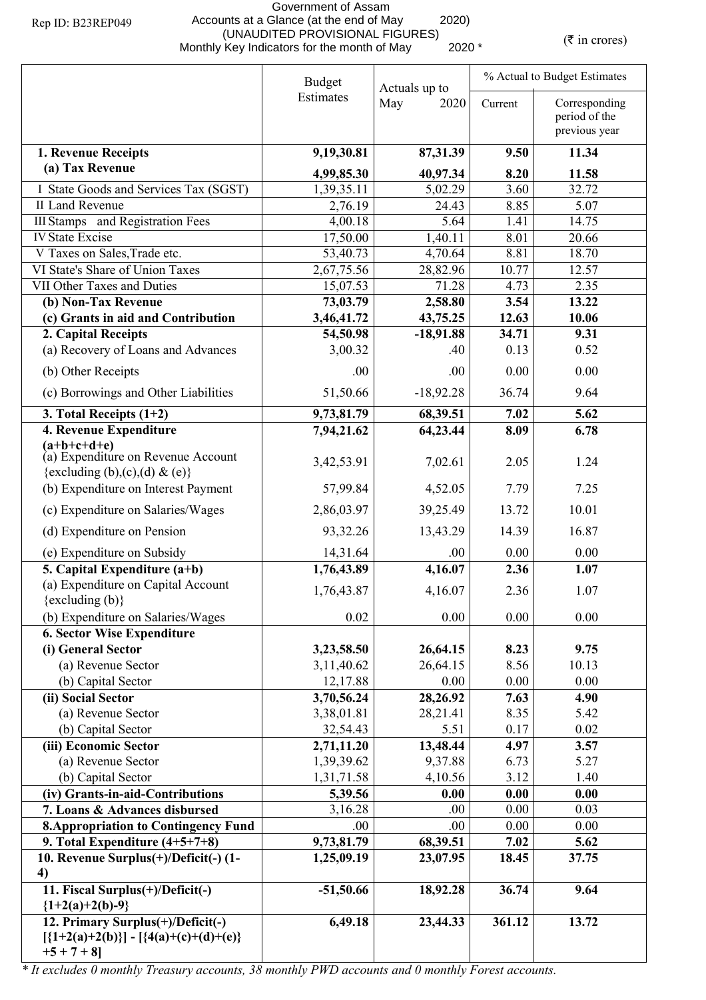## Government of Assam Accounts at a Glance (at the end of May 2020) (UNAUDITED PROVISIONAL FIGURES)<br>Monthly Key Indicators for the month of May 2020 \* (₹ in crores)

|                                                                                                   | <b>Budget</b><br>Actuals up to |             | % Actual to Budget Estimates |                                |  |
|---------------------------------------------------------------------------------------------------|--------------------------------|-------------|------------------------------|--------------------------------|--|
|                                                                                                   | Estimates                      | May<br>2020 | Current                      | Corresponding                  |  |
|                                                                                                   |                                |             |                              | period of the<br>previous year |  |
| 1. Revenue Receipts                                                                               | 9,19,30.81                     | 87,31.39    | 9.50                         | 11.34                          |  |
| (a) Tax Revenue                                                                                   | 4,99,85.30                     | 40,97.34    | 8.20                         | 11.58                          |  |
| I State Goods and Services Tax (SGST)                                                             | 1,39,35.11                     | 5,02.29     | 3.60                         | 32.72                          |  |
| II Land Revenue                                                                                   | 2,76.19                        | 24.43       | 8.85                         | 5.07                           |  |
| <b>III Stamps</b> and Registration Fees                                                           | 4,00.18                        | 5.64        | 1.41                         | 14.75                          |  |
| <b>IV State Excise</b>                                                                            | 17,50.00                       | 1,40.11     | 8.01                         | 20.66                          |  |
| V Taxes on Sales, Trade etc.                                                                      | 53,40.73                       | 4,70.64     | 8.81                         | 18.70                          |  |
| VI State's Share of Union Taxes                                                                   | 2,67,75.56                     | 28,82.96    | 10.77                        | 12.57                          |  |
| VII Other Taxes and Duties                                                                        | 15,07.53                       | 71.28       | 4.73                         | 2.35                           |  |
| (b) Non-Tax Revenue                                                                               | 73,03.79                       | 2,58.80     | 3.54                         | 13.22                          |  |
| (c) Grants in aid and Contribution                                                                | 3,46,41.72                     | 43,75.25    | 12.63                        | 10.06                          |  |
| 2. Capital Receipts                                                                               | 54,50.98                       | $-18,91.88$ | 34.71                        | 9.31                           |  |
| (a) Recovery of Loans and Advances                                                                | 3,00.32                        | .40         | 0.13                         | 0.52                           |  |
| (b) Other Receipts                                                                                | .00                            | .00         | 0.00                         | 0.00                           |  |
| (c) Borrowings and Other Liabilities                                                              | 51,50.66                       | $-18,92.28$ | 36.74                        | 9.64                           |  |
| 3. Total Receipts $(1+2)$                                                                         | 9,73,81.79                     | 68,39.51    | 7.02                         | 5.62                           |  |
| 4. Revenue Expenditure                                                                            | 7,94,21.62                     | 64,23.44    | 8.09                         | 6.78                           |  |
| $(a+b+c+d+e)$<br>(a) Expenditure on Revenue Account                                               | 3,42,53.91                     | 7,02.61     | 2.05                         | 1.24                           |  |
| {excluding (b),(c),(d) & (e)}                                                                     |                                |             |                              |                                |  |
| (b) Expenditure on Interest Payment                                                               | 57,99.84                       | 4,52.05     | 7.79                         | 7.25                           |  |
| (c) Expenditure on Salaries/Wages                                                                 | 2,86,03.97                     | 39,25.49    | 13.72                        | 10.01                          |  |
| (d) Expenditure on Pension                                                                        | 93,32.26                       | 13,43.29    | 14.39                        | 16.87                          |  |
| (e) Expenditure on Subsidy                                                                        | 14,31.64                       | .00         | 0.00                         | 0.00                           |  |
| 5. Capital Expenditure $(a+b)$                                                                    | 1,76,43.89                     | 4,16.07     | 2.36                         | 1.07                           |  |
| (a) Expenditure on Capital Account<br>{excluding (b)}                                             | 1,76,43.87                     | 4,16.07     | 2.36                         | 1.07                           |  |
| (b) Expenditure on Salaries/Wages                                                                 | 0.02                           | 0.00        | 0.00                         | 0.00                           |  |
| <b>6. Sector Wise Expenditure</b>                                                                 |                                |             |                              |                                |  |
| (i) General Sector                                                                                | 3,23,58.50                     | 26,64.15    | 8.23                         | 9.75                           |  |
| (a) Revenue Sector                                                                                | 3, 11, 40. 62                  | 26,64.15    | 8.56                         | 10.13                          |  |
| (b) Capital Sector                                                                                | 12,17.88                       | 0.00        | 0.00                         | 0.00                           |  |
| (ii) Social Sector                                                                                | 3,70,56.24                     | 28,26.92    | 7.63                         | 4.90                           |  |
| (a) Revenue Sector                                                                                | 3,38,01.81                     | 28,21.41    | 8.35                         | 5.42                           |  |
| (b) Capital Sector                                                                                | 32,54.43                       | 5.51        | 0.17                         | 0.02                           |  |
| (iii) Economic Sector                                                                             | 2,71,11.20                     | 13,48.44    | 4.97                         | 3.57                           |  |
| (a) Revenue Sector                                                                                | 1,39,39.62                     | 9,37.88     | 6.73                         | 5.27                           |  |
| (b) Capital Sector                                                                                | 1,31,71.58                     | 4,10.56     | 3.12                         | 1.40                           |  |
| (iv) Grants-in-aid-Contributions                                                                  | 5,39.56                        | 0.00        | 0.00                         | 0.00                           |  |
| 7. Loans & Advances disbursed                                                                     | 3,16.28                        | .00         | 0.00                         | 0.03                           |  |
| <b>8. Appropriation to Contingency Fund</b>                                                       | .00.                           | .00         | 0.00                         | 0.00                           |  |
| 9. Total Expenditure $(4+5+7+8)$                                                                  | 9,73,81.79                     | 68,39.51    | 7.02                         | 5.62                           |  |
| 10. Revenue Surplus(+)/Deficit(-) (1-                                                             | 1,25,09.19                     | 23,07.95    | 18.45                        | 37.75                          |  |
| 4)<br>11. Fiscal Surplus(+)/Deficit(-)<br>${1+2(a)+2(b)-9}$                                       | $-51,50.66$                    | 18,92.28    | 36.74                        | 9.64                           |  |
| 12. Primary Surplus(+)/Deficit(-)<br>$[\{1+2(a)+2(b)\}] - [\{4(a)+(c)+(d)+(e)\}]$<br>$+5 + 7 + 8$ | 6,49.18                        | 23,44.33    | 361.12                       | 13.72                          |  |

*\* It excludes 0 monthly Treasury accounts, 38 monthly PWD accounts and 0 monthly Forest accounts.*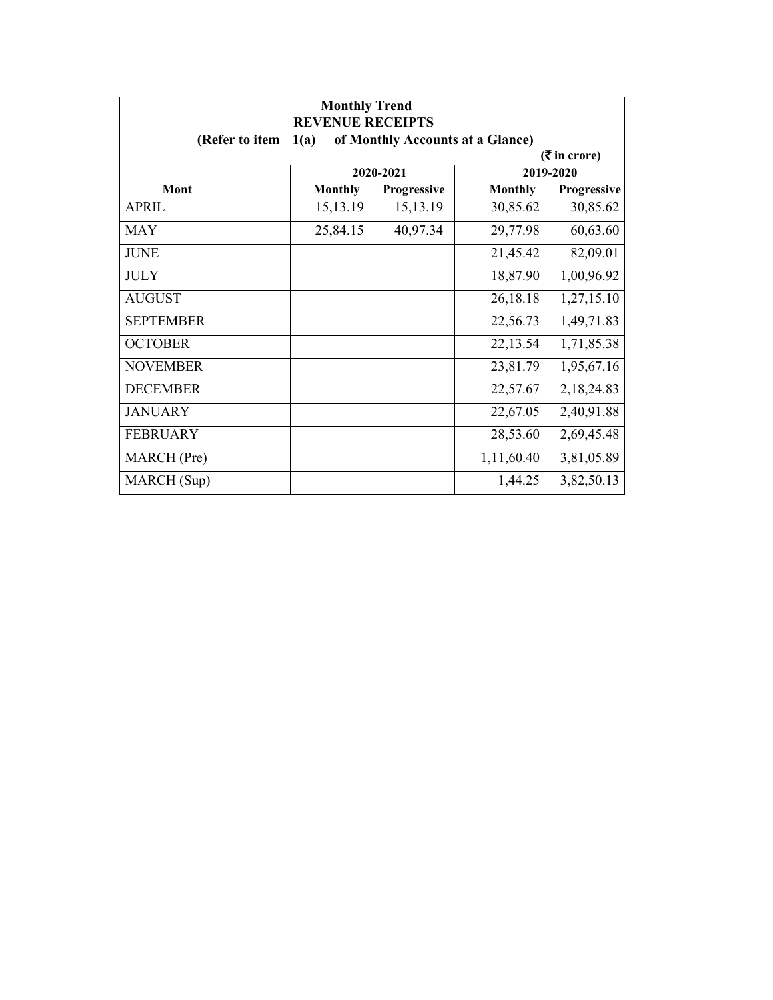| <b>Monthly Trend</b><br><b>REVENUE RECEIPTS</b> |                |             |                                  |             |  |
|-------------------------------------------------|----------------|-------------|----------------------------------|-------------|--|
| (Refer to item                                  | 1(a)           |             | of Monthly Accounts at a Glance) |             |  |
| $(5 \text{ in } \text{core})$                   |                |             |                                  |             |  |
|                                                 |                | 2020-2021   |                                  | 2019-2020   |  |
| Mont                                            | <b>Monthly</b> | Progressive | <b>Monthly</b>                   | Progressive |  |
| APRIL                                           | 15,13.19       | 15,13.19    | 30,85.62                         | 30,85.62    |  |
| <b>MAY</b>                                      | 25,84.15       | 40,97.34    | 29,77.98                         | 60,63.60    |  |
| <b>JUNE</b>                                     |                |             | 21,45.42                         | 82,09.01    |  |
| <b>JULY</b>                                     |                |             | 18,87.90                         | 1,00,96.92  |  |
| <b>AUGUST</b>                                   |                |             | 26,18.18                         | 1,27,15.10  |  |
| <b>SEPTEMBER</b>                                |                |             | 22,56.73                         | 1,49,71.83  |  |
| <b>OCTOBER</b>                                  |                |             | 22,13.54                         | 1,71,85.38  |  |
| <b>NOVEMBER</b>                                 |                |             | 23,81.79                         | 1,95,67.16  |  |
| <b>DECEMBER</b>                                 |                |             | 22,57.67                         | 2,18,24.83  |  |
| <b>JANUARY</b>                                  |                |             | 22,67.05                         | 2,40,91.88  |  |
| <b>FEBRUARY</b>                                 |                |             | 28,53.60                         | 2,69,45.48  |  |
| MARCH (Pre)                                     |                |             | 1,11,60.40                       | 3,81,05.89  |  |
| MARCH (Sup)                                     |                |             | 1,44.25                          | 3,82,50.13  |  |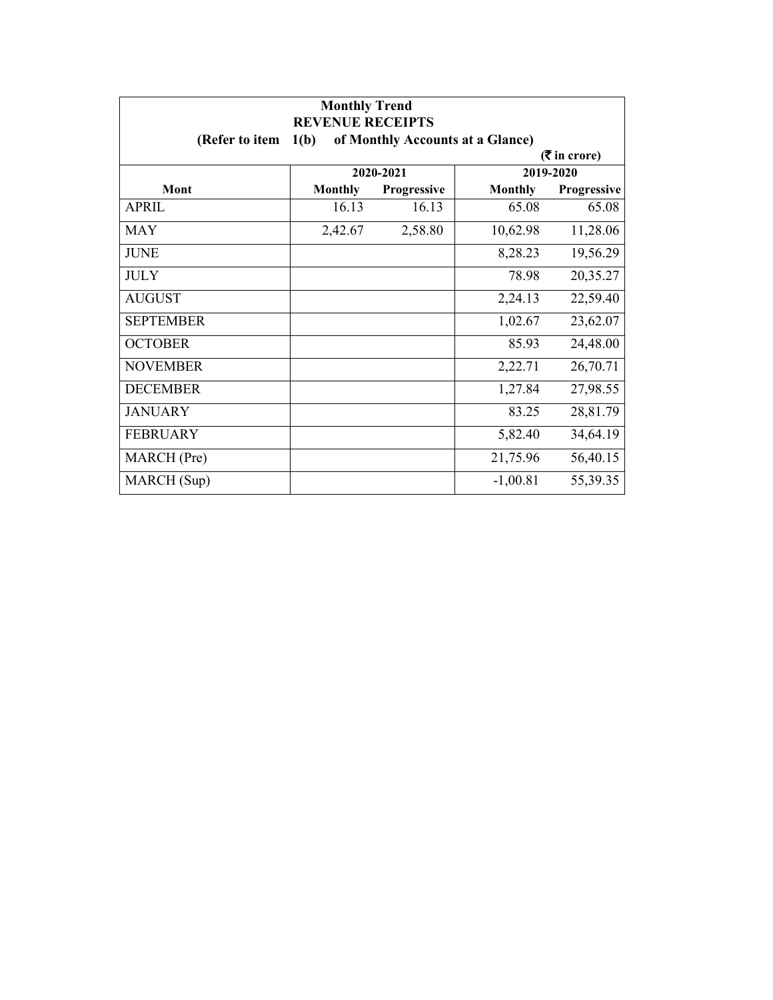| <b>Monthly Trend</b><br><b>REVENUE RECEIPTS</b> |                |                    |                                  |                               |
|-------------------------------------------------|----------------|--------------------|----------------------------------|-------------------------------|
| (Refer to item                                  | 1(b)           |                    | of Monthly Accounts at a Glance) |                               |
|                                                 |                |                    |                                  | $(5 \text{ in } \text{core})$ |
|                                                 |                | 2020-2021          |                                  | 2019-2020                     |
| Mont                                            | <b>Monthly</b> | <b>Progressive</b> | <b>Monthly</b>                   | Progressive                   |
| APRIL                                           | 16.13          | 16.13              | 65.08                            | 65.08                         |
| <b>MAY</b>                                      | 2,42.67        | 2,58.80            | 10,62.98                         | 11,28.06                      |
| <b>JUNE</b>                                     |                |                    | 8,28.23                          | 19,56.29                      |
| <b>JULY</b>                                     |                |                    | 78.98                            | 20,35.27                      |
| <b>AUGUST</b>                                   |                |                    | 2,24.13                          | 22,59.40                      |
| <b>SEPTEMBER</b>                                |                |                    | 1,02.67                          | 23,62.07                      |
| <b>OCTOBER</b>                                  |                |                    | 85.93                            | 24,48.00                      |
| <b>NOVEMBER</b>                                 |                |                    | 2,22.71                          | 26,70.71                      |
| <b>DECEMBER</b>                                 |                |                    | 1,27.84                          | 27,98.55                      |
| <b>JANUARY</b>                                  |                |                    | 83.25                            | 28,81.79                      |
| <b>FEBRUARY</b>                                 |                |                    | 5,82.40                          | 34,64.19                      |
| MARCH (Pre)                                     |                |                    | 21,75.96                         | 56,40.15                      |
| MARCH (Sup)                                     |                |                    | $-1,00.81$                       | 55,39.35                      |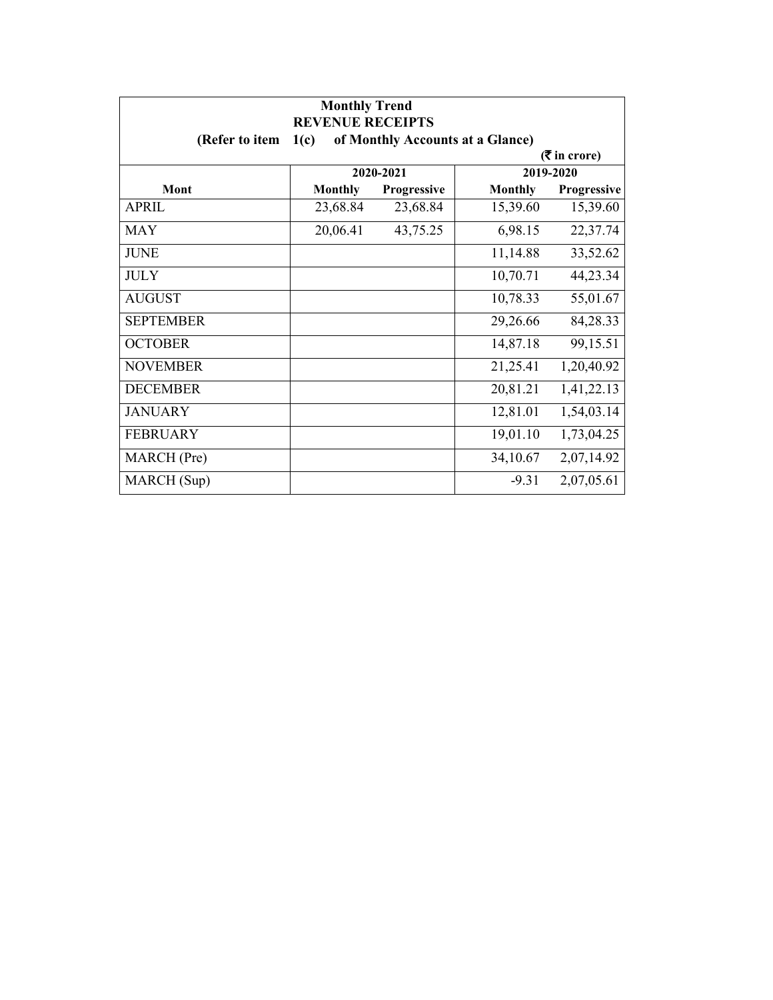| <b>Monthly Trend</b><br><b>REVENUE RECEIPTS</b> |                |             |                                  |             |  |
|-------------------------------------------------|----------------|-------------|----------------------------------|-------------|--|
| (Refer to item                                  | 1(c)           |             | of Monthly Accounts at a Glance) |             |  |
| $(5 \text{ in } \text{core})$                   |                |             |                                  |             |  |
|                                                 |                | 2020-2021   |                                  | 2019-2020   |  |
| Mont                                            | <b>Monthly</b> | Progressive | <b>Monthly</b>                   | Progressive |  |
| APRIL                                           | 23,68.84       | 23,68.84    | 15,39.60                         | 15,39.60    |  |
| <b>MAY</b>                                      | 20,06.41       | 43,75.25    | 6,98.15                          | 22,37.74    |  |
| <b>JUNE</b>                                     |                |             | 11,14.88                         | 33,52.62    |  |
| <b>JULY</b>                                     |                |             | 10,70.71                         | 44,23.34    |  |
| <b>AUGUST</b>                                   |                |             | 10,78.33                         | 55,01.67    |  |
| <b>SEPTEMBER</b>                                |                |             | 29,26.66                         | 84,28.33    |  |
| <b>OCTOBER</b>                                  |                |             | 14,87.18                         | 99,15.51    |  |
| <b>NOVEMBER</b>                                 |                |             | 21,25.41                         | 1,20,40.92  |  |
| <b>DECEMBER</b>                                 |                |             | 20,81.21                         | 1,41,22.13  |  |
| <b>JANUARY</b>                                  |                |             | 12,81.01                         | 1,54,03.14  |  |
| <b>FEBRUARY</b>                                 |                |             | 19,01.10                         | 1,73,04.25  |  |
| MARCH (Pre)                                     |                |             | 34,10.67                         | 2,07,14.92  |  |
| MARCH (Sup)                                     |                |             | $-9.31$                          | 2,07,05.61  |  |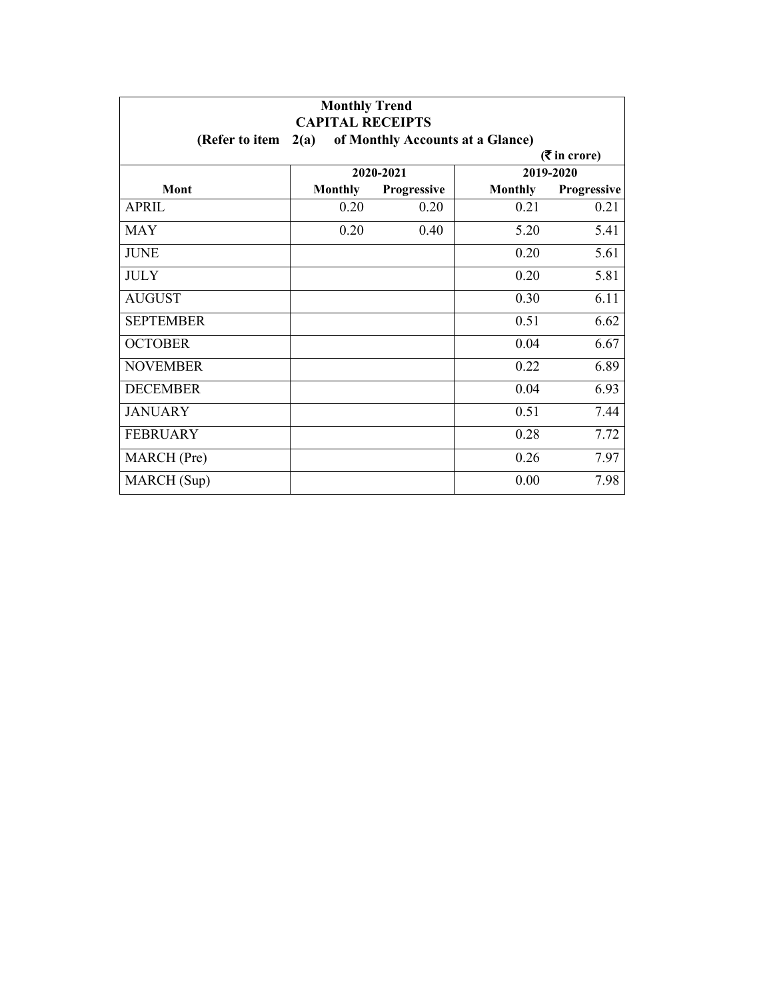| <b>Monthly Trend</b><br><b>CAPITAL RECEIPTS</b> |                |                    |                                  |                 |
|-------------------------------------------------|----------------|--------------------|----------------------------------|-----------------|
| (Refer to item                                  | 2(a)           |                    | of Monthly Accounts at a Glance) |                 |
|                                                 |                |                    |                                  | $($ ₹ in crore) |
|                                                 |                | 2020-2021          |                                  | 2019-2020       |
| Mont                                            | <b>Monthly</b> | <b>Progressive</b> | <b>Monthly</b>                   | Progressive     |
| <b>APRIL</b>                                    | 0.20           | 0.20               | 0.21                             | 0.21            |
| <b>MAY</b>                                      | 0.20           | 0.40               | 5.20                             | 5.41            |
| <b>JUNE</b>                                     |                |                    | 0.20                             | 5.61            |
| <b>JULY</b>                                     |                |                    | 0.20                             | 5.81            |
| <b>AUGUST</b>                                   |                |                    | 0.30                             | 6.11            |
| <b>SEPTEMBER</b>                                |                |                    | 0.51                             | 6.62            |
| <b>OCTOBER</b>                                  |                |                    | 0.04                             | 6.67            |
| <b>NOVEMBER</b>                                 |                |                    | 0.22                             | 6.89            |
| <b>DECEMBER</b>                                 |                |                    | 0.04                             | 6.93            |
| <b>JANUARY</b>                                  |                |                    | 0.51                             | 7.44            |
| <b>FEBRUARY</b>                                 |                |                    | 0.28                             | 7.72            |
| MARCH (Pre)                                     |                |                    | 0.26                             | 7.97            |
| MARCH (Sup)                                     |                |                    | 0.00                             | 7.98            |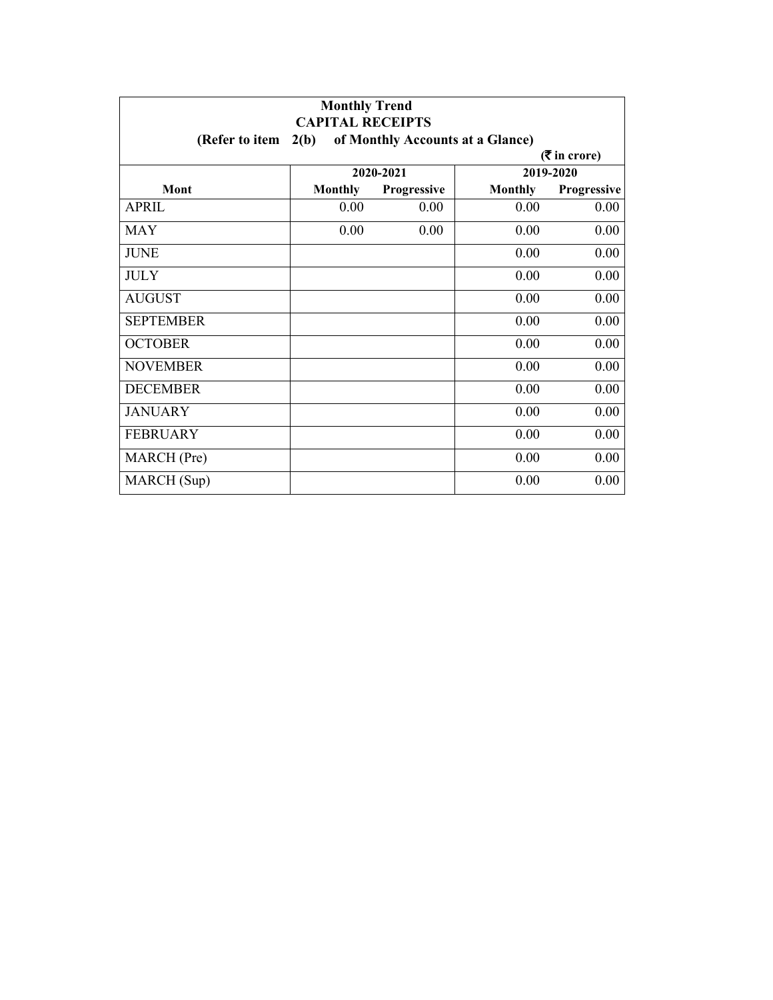| <b>Monthly Trend</b><br><b>CAPITAL RECEIPTS</b> |                |             |                                  |                 |
|-------------------------------------------------|----------------|-------------|----------------------------------|-----------------|
| (Refer to item                                  | 2(b)           |             | of Monthly Accounts at a Glance) |                 |
|                                                 |                |             |                                  | $($ ₹ in crore) |
|                                                 |                | 2020-2021   |                                  | 2019-2020       |
| Mont                                            | <b>Monthly</b> | Progressive | <b>Monthly</b>                   | Progressive     |
| <b>APRIL</b>                                    | 0.00           | 0.00        | 0.00                             | 0.00            |
| <b>MAY</b>                                      | 0.00           | 0.00        | 0.00                             | 0.00            |
| <b>JUNE</b>                                     |                |             | 0.00                             | 0.00            |
| <b>JULY</b>                                     |                |             | 0.00                             | 0.00            |
| <b>AUGUST</b>                                   |                |             | 0.00                             | 0.00            |
| <b>SEPTEMBER</b>                                |                |             | 0.00                             | 0.00            |
| <b>OCTOBER</b>                                  |                |             | 0.00                             | 0.00            |
| <b>NOVEMBER</b>                                 |                |             | 0.00                             | 0.00            |
| <b>DECEMBER</b>                                 |                |             | 0.00                             | 0.00            |
| <b>JANUARY</b>                                  |                |             | 0.00                             | 0.00            |
| <b>FEBRUARY</b>                                 |                |             | 0.00                             | 0.00            |
| MARCH (Pre)                                     |                |             | 0.00                             | 0.00            |
| MARCH (Sup)                                     |                |             | 0.00                             | 0.00            |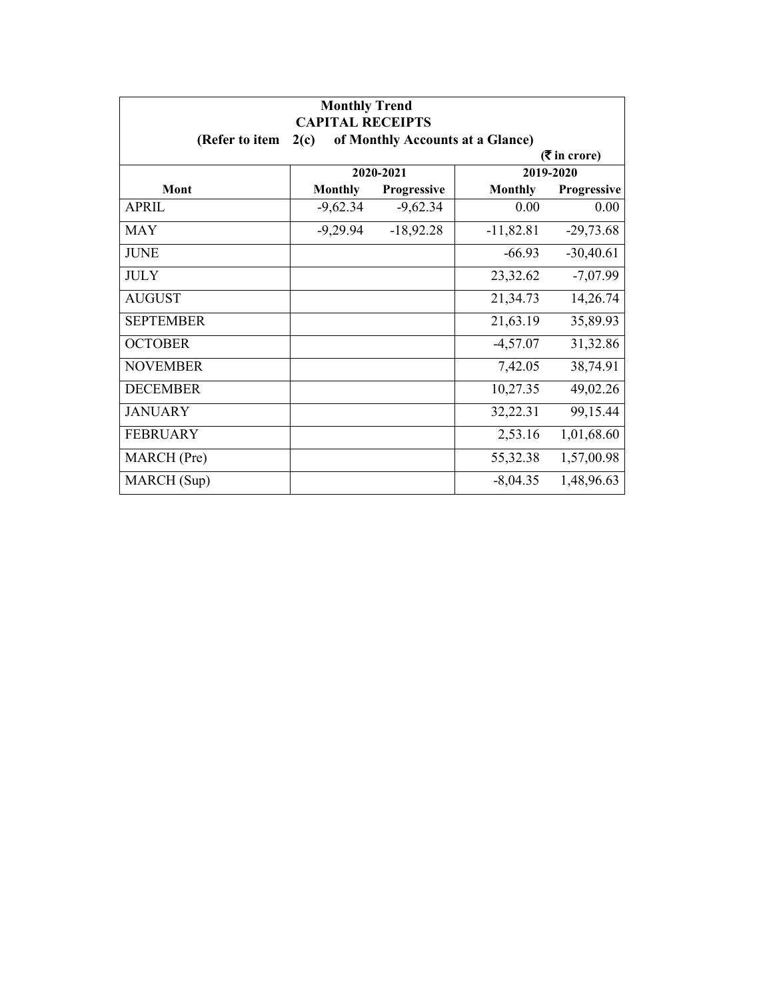| <b>Monthly Trend</b><br><b>CAPITAL RECEIPTS</b> |                |             |                                  |                               |
|-------------------------------------------------|----------------|-------------|----------------------------------|-------------------------------|
| (Refer to item                                  | 2(c)           |             | of Monthly Accounts at a Glance) |                               |
|                                                 |                |             |                                  | $(5 \text{ in } \text{core})$ |
|                                                 |                | 2020-2021   |                                  | 2019-2020                     |
| Mont                                            | <b>Monthly</b> | Progressive | <b>Monthly</b>                   | Progressive                   |
| APRIL                                           | $-9,62.34$     | $-9,62.34$  | 0.00                             | 0.00                          |
| MAY                                             | $-9,29.94$     | $-18,92.28$ | $-11,82.81$                      | $-29,73.68$                   |
| <b>JUNE</b>                                     |                |             | $-66.93$                         | $-30,40.61$                   |
| <b>JULY</b>                                     |                |             | 23,32.62                         | $-7,07.99$                    |
| <b>AUGUST</b>                                   |                |             | 21,34.73                         | 14,26.74                      |
| <b>SEPTEMBER</b>                                |                |             | 21,63.19                         | 35,89.93                      |
| <b>OCTOBER</b>                                  |                |             | $-4,57.07$                       | 31,32.86                      |
| <b>NOVEMBER</b>                                 |                |             | 7,42.05                          | 38,74.91                      |
| <b>DECEMBER</b>                                 |                |             | 10,27.35                         | 49,02.26                      |
| <b>JANUARY</b>                                  |                |             | 32,22.31                         | 99,15.44                      |
| <b>FEBRUARY</b>                                 |                |             | 2,53.16                          | 1,01,68.60                    |
| MARCH (Pre)                                     |                |             | 55,32.38                         | 1,57,00.98                    |
| MARCH (Sup)                                     |                |             | $-8,04.35$                       | 1,48,96.63                    |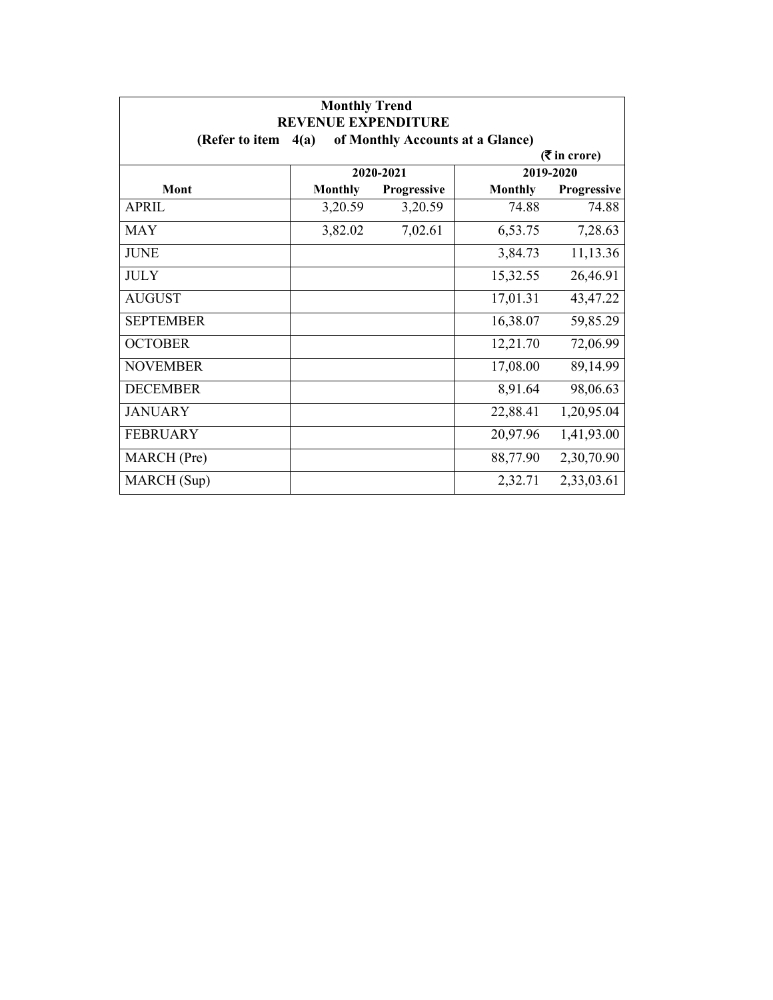| <b>Monthly Trend</b><br><b>REVENUE EXPENDITURE</b> |                |                    |                                  |                               |
|----------------------------------------------------|----------------|--------------------|----------------------------------|-------------------------------|
| (Refer to item                                     | 4(a)           |                    | of Monthly Accounts at a Glance) |                               |
|                                                    |                |                    |                                  | $(5 \text{ in } \text{core})$ |
|                                                    |                | 2020-2021          |                                  | 2019-2020                     |
| Mont                                               | <b>Monthly</b> | <b>Progressive</b> | <b>Monthly</b>                   | Progressive                   |
| <b>APRIL</b>                                       | 3,20.59        | 3,20.59            | 74.88                            | 74.88                         |
| <b>MAY</b>                                         | 3,82.02        | 7,02.61            | 6,53.75                          | 7,28.63                       |
| <b>JUNE</b>                                        |                |                    | 3,84.73                          | 11,13.36                      |
| <b>JULY</b>                                        |                |                    | 15,32.55                         | 26,46.91                      |
| <b>AUGUST</b>                                      |                |                    | 17,01.31                         | 43,47.22                      |
| <b>SEPTEMBER</b>                                   |                |                    | 16,38.07                         | 59,85.29                      |
| <b>OCTOBER</b>                                     |                |                    | 12,21.70                         | 72,06.99                      |
| <b>NOVEMBER</b>                                    |                |                    | 17,08.00                         | 89,14.99                      |
| <b>DECEMBER</b>                                    |                |                    | 8,91.64                          | 98,06.63                      |
| <b>JANUARY</b>                                     |                |                    | 22,88.41                         | 1,20,95.04                    |
| <b>FEBRUARY</b>                                    |                |                    | 20,97.96                         | 1,41,93.00                    |
| MARCH (Pre)                                        |                |                    | 88,77.90                         | 2,30,70.90                    |
| MARCH (Sup)                                        |                |                    | 2,32.71                          | 2,33,03.61                    |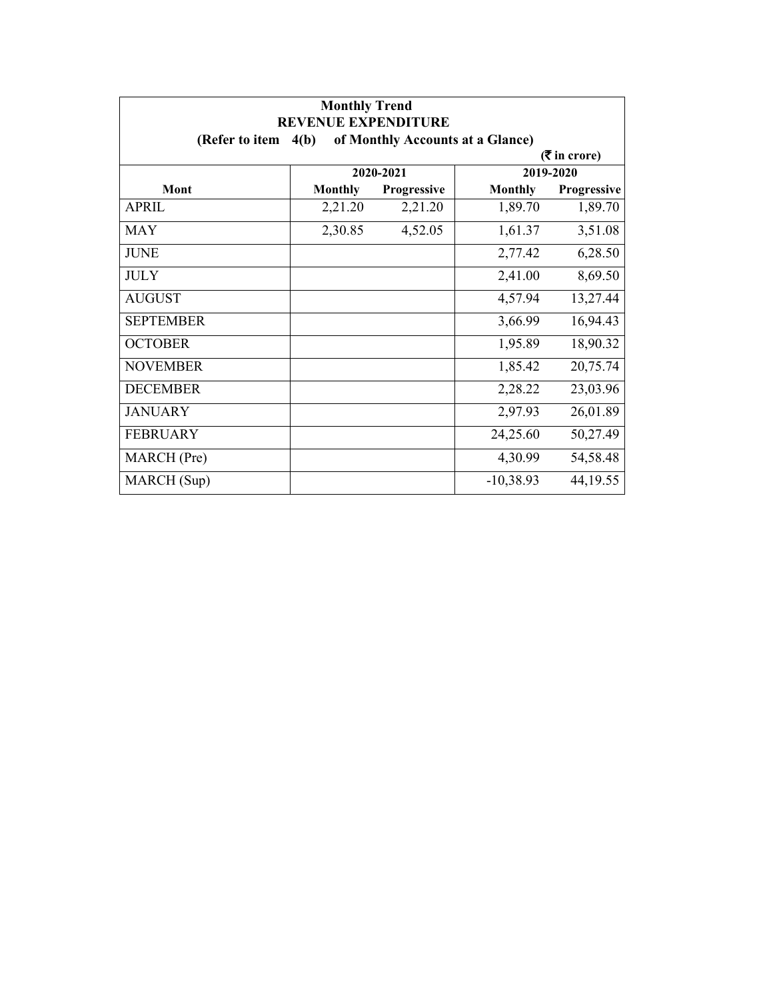| <b>Monthly Trend</b><br><b>REVENUE EXPENDITURE</b> |                                                             |                    |                |                             |  |  |
|----------------------------------------------------|-------------------------------------------------------------|--------------------|----------------|-----------------------------|--|--|
|                                                    | of Monthly Accounts at a Glance)<br>(Refer to item $4(b)$ ) |                    |                |                             |  |  |
|                                                    |                                                             |                    |                | $(3\overline{5})$ in crore) |  |  |
|                                                    |                                                             | 2020-2021          |                | 2019-2020                   |  |  |
| <b>Mont</b>                                        | <b>Monthly</b>                                              | <b>Progressive</b> | <b>Monthly</b> | Progressive                 |  |  |
| APRIL                                              | 2,21.20                                                     | 2,21.20            | 1,89.70        | 1,89.70                     |  |  |
| <b>MAY</b>                                         | 2,30.85                                                     | 4,52.05            | 1,61.37        | 3,51.08                     |  |  |
| <b>JUNE</b>                                        |                                                             |                    | 2,77.42        | 6,28.50                     |  |  |
| <b>JULY</b>                                        |                                                             |                    | 2,41.00        | 8,69.50                     |  |  |
| <b>AUGUST</b>                                      |                                                             |                    | 4,57.94        | 13,27.44                    |  |  |
| <b>SEPTEMBER</b>                                   |                                                             |                    | 3,66.99        | 16,94.43                    |  |  |
| <b>OCTOBER</b>                                     |                                                             |                    | 1,95.89        | 18,90.32                    |  |  |
| <b>NOVEMBER</b>                                    |                                                             |                    | 1,85.42        | 20,75.74                    |  |  |
| <b>DECEMBER</b>                                    |                                                             |                    | 2,28.22        | 23,03.96                    |  |  |
| <b>JANUARY</b>                                     |                                                             |                    | 2,97.93        | 26,01.89                    |  |  |
| <b>FEBRUARY</b>                                    |                                                             |                    | 24,25.60       | 50,27.49                    |  |  |
| MARCH (Pre)                                        |                                                             |                    | 4,30.99        | 54,58.48                    |  |  |
| MARCH (Sup)                                        |                                                             |                    | $-10,38.93$    | 44, 19.55                   |  |  |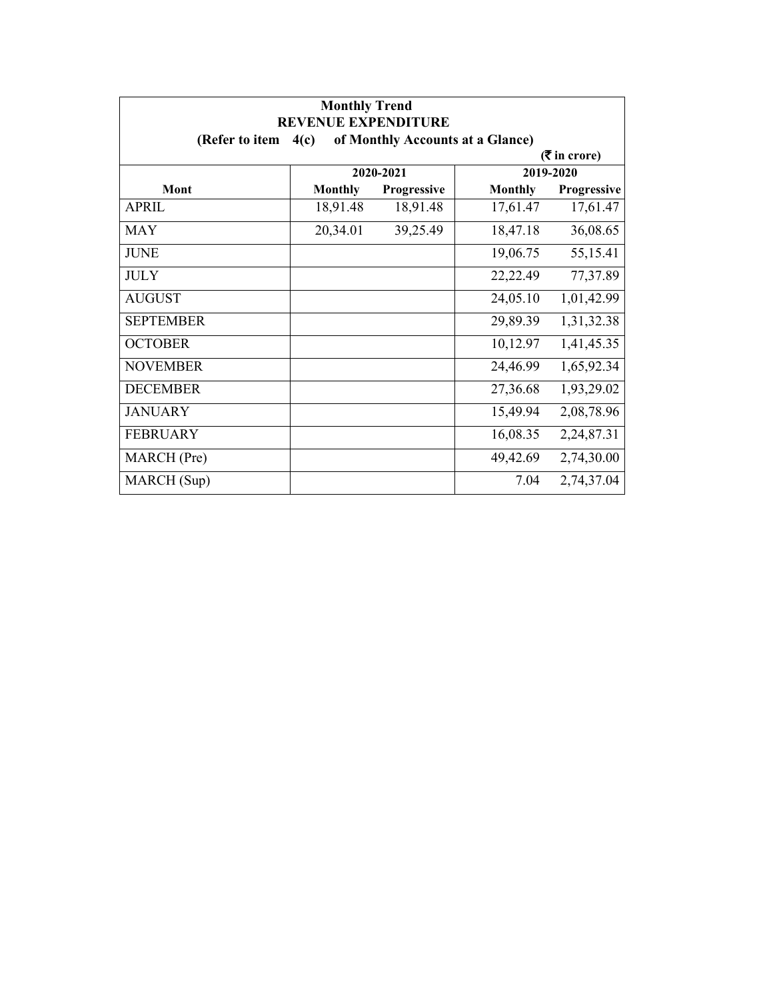| <b>Monthly Trend</b><br><b>REVENUE EXPENDITURE</b> |                |             |                                  |                               |
|----------------------------------------------------|----------------|-------------|----------------------------------|-------------------------------|
| (Refer to item                                     | 4(c)           |             | of Monthly Accounts at a Glance) |                               |
|                                                    |                |             |                                  | $(5 \text{ in } \text{core})$ |
|                                                    |                | 2020-2021   |                                  | 2019-2020                     |
| Mont                                               | <b>Monthly</b> | Progressive | <b>Monthly</b>                   | Progressive                   |
| <b>APRIL</b>                                       | 18,91.48       | 18,91.48    | 17,61.47                         | 17,61.47                      |
| <b>MAY</b>                                         | 20,34.01       | 39,25.49    | 18,47.18                         | 36,08.65                      |
| <b>JUNE</b>                                        |                |             | 19,06.75                         | 55,15.41                      |
| <b>JULY</b>                                        |                |             | 22,22.49                         | 77,37.89                      |
| <b>AUGUST</b>                                      |                |             | 24,05.10                         | 1,01,42.99                    |
| <b>SEPTEMBER</b>                                   |                |             | 29,89.39                         | 1,31,32.38                    |
| <b>OCTOBER</b>                                     |                |             | 10,12.97                         | 1,41,45.35                    |
| <b>NOVEMBER</b>                                    |                |             | 24,46.99                         | 1,65,92.34                    |
| <b>DECEMBER</b>                                    |                |             | 27,36.68                         | 1,93,29.02                    |
| <b>JANUARY</b>                                     |                |             | 15,49.94                         | 2,08,78.96                    |
| <b>FEBRUARY</b>                                    |                |             | 16,08.35                         | 2,24,87.31                    |
| MARCH (Pre)                                        |                |             | 49,42.69                         | 2,74,30.00                    |
| MARCH (Sup)                                        |                |             | 7.04                             | 2,74,37.04                    |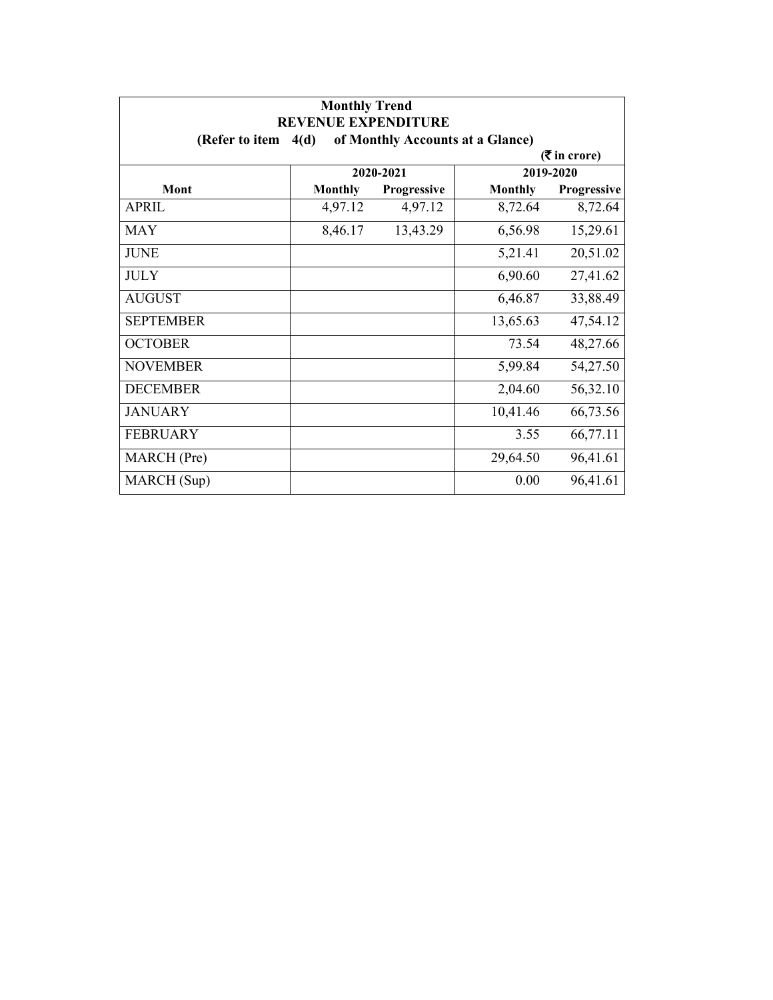| <b>Monthly Trend</b><br><b>REVENUE EXPENDITURE</b> |                |             |                                  |                               |
|----------------------------------------------------|----------------|-------------|----------------------------------|-------------------------------|
| (Refer to item                                     | 4(d)           |             | of Monthly Accounts at a Glance) |                               |
|                                                    |                |             |                                  | $(5 \text{ in } \text{core})$ |
|                                                    |                | 2020-2021   |                                  | 2019-2020                     |
| Mont                                               | <b>Monthly</b> | Progressive | <b>Monthly</b>                   | Progressive                   |
| <b>APRIL</b>                                       | 4,97.12        | 4,97.12     | 8,72.64                          | 8,72.64                       |
| <b>MAY</b>                                         | 8,46.17        | 13,43.29    | 6,56.98                          | 15,29.61                      |
| <b>JUNE</b>                                        |                |             | 5,21.41                          | 20,51.02                      |
| <b>JULY</b>                                        |                |             | 6,90.60                          | 27,41.62                      |
| <b>AUGUST</b>                                      |                |             | 6,46.87                          | 33,88.49                      |
| <b>SEPTEMBER</b>                                   |                |             | 13,65.63                         | 47,54.12                      |
| <b>OCTOBER</b>                                     |                |             | 73.54                            | 48,27.66                      |
| <b>NOVEMBER</b>                                    |                |             | 5,99.84                          | 54,27.50                      |
| <b>DECEMBER</b>                                    |                |             | 2,04.60                          | 56,32.10                      |
| <b>JANUARY</b>                                     |                |             | 10,41.46                         | 66,73.56                      |
| <b>FEBRUARY</b>                                    |                |             | 3.55                             | 66,77.11                      |
| MARCH (Pre)                                        |                |             | 29,64.50                         | 96,41.61                      |
| MARCH (Sup)                                        |                |             | 0.00                             | 96,41.61                      |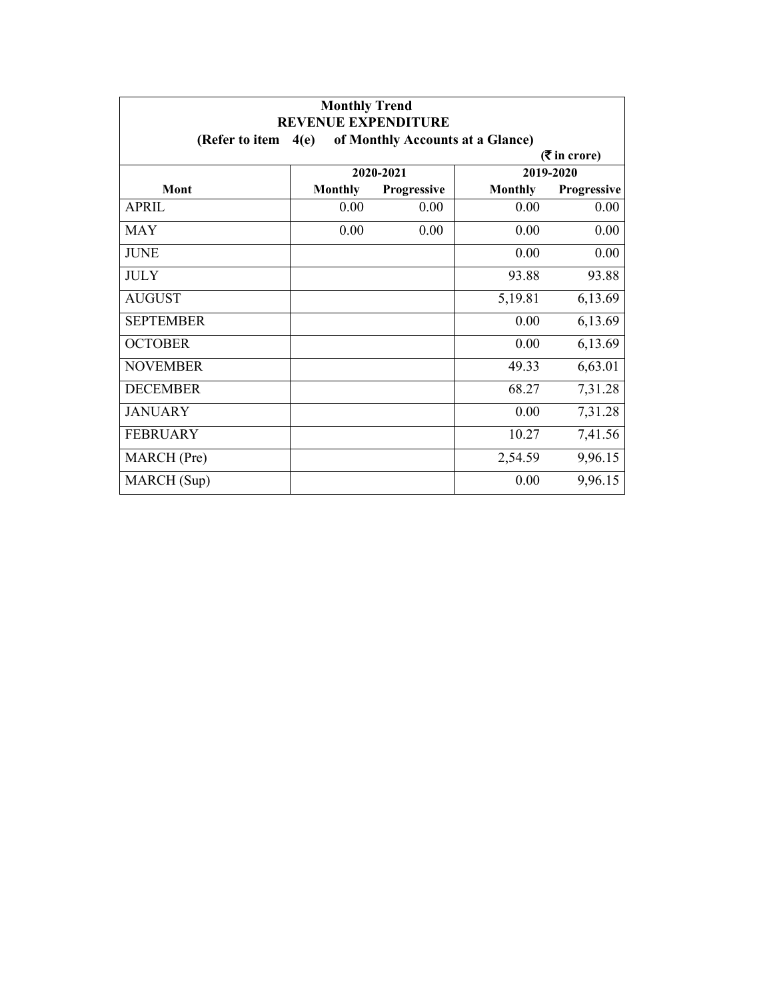| <b>Monthly Trend</b> |                                                                        |             |                |                             |  |
|----------------------|------------------------------------------------------------------------|-------------|----------------|-----------------------------|--|
| (Refer to item       | <b>REVENUE EXPENDITURE</b><br>of Monthly Accounts at a Glance)<br>4(e) |             |                |                             |  |
|                      |                                                                        |             |                | $(3\overline{5})$ in crore) |  |
|                      |                                                                        | 2020-2021   |                | 2019-2020                   |  |
| Mont                 | <b>Monthly</b>                                                         | Progressive | <b>Monthly</b> | Progressive                 |  |
| <b>APRIL</b>         | 0.00                                                                   | 0.00        | 0.00           | 0.00                        |  |
| <b>MAY</b>           | 0.00                                                                   | 0.00        | 0.00           | 0.00                        |  |
| <b>JUNE</b>          |                                                                        |             | 0.00           | 0.00                        |  |
| <b>JULY</b>          |                                                                        |             | 93.88          | 93.88                       |  |
| <b>AUGUST</b>        |                                                                        |             | 5,19.81        | 6,13.69                     |  |
| <b>SEPTEMBER</b>     |                                                                        |             | 0.00           | 6,13.69                     |  |
| <b>OCTOBER</b>       |                                                                        |             | 0.00           | 6,13.69                     |  |
| <b>NOVEMBER</b>      |                                                                        |             | 49.33          | 6,63.01                     |  |
| <b>DECEMBER</b>      |                                                                        |             | 68.27          | 7,31.28                     |  |
| <b>JANUARY</b>       |                                                                        |             | 0.00           | 7,31.28                     |  |
| <b>FEBRUARY</b>      |                                                                        |             | 10.27          | 7,41.56                     |  |
| MARCH (Pre)          |                                                                        |             | 2,54.59        | 9,96.15                     |  |
| MARCH (Sup)          |                                                                        |             | 0.00           | 9,96.15                     |  |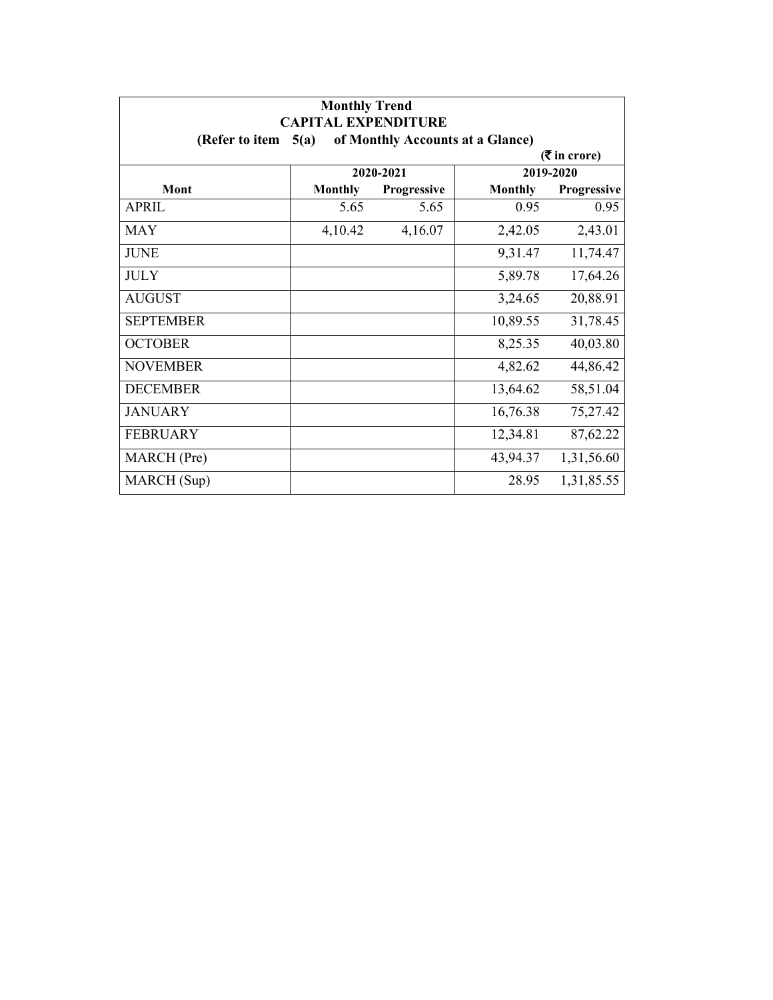| <b>Monthly Trend</b><br><b>CAPITAL EXPENDITURE</b>         |                |             |                |             |  |  |  |
|------------------------------------------------------------|----------------|-------------|----------------|-------------|--|--|--|
| (Refer to item<br>of Monthly Accounts at a Glance)<br>5(a) |                |             |                |             |  |  |  |
| $($ ₹ in crore)                                            |                |             |                |             |  |  |  |
|                                                            | 2020-2021      |             | 2019-2020      |             |  |  |  |
| Mont                                                       | <b>Monthly</b> | Progressive | <b>Monthly</b> | Progressive |  |  |  |
| APRIL                                                      | 5.65           | 5.65        | 0.95           | 0.95        |  |  |  |
| <b>MAY</b>                                                 | 4,10.42        | 4,16.07     | 2,42.05        | 2,43.01     |  |  |  |
| <b>JUNE</b>                                                |                |             | 9,31.47        | 11,74.47    |  |  |  |
| <b>JULY</b>                                                |                |             | 5,89.78        | 17,64.26    |  |  |  |
| <b>AUGUST</b>                                              |                |             | 3,24.65        | 20,88.91    |  |  |  |
| <b>SEPTEMBER</b>                                           |                |             | 10,89.55       | 31,78.45    |  |  |  |
| <b>OCTOBER</b>                                             |                |             | 8,25.35        | 40,03.80    |  |  |  |
| <b>NOVEMBER</b>                                            |                |             | 4,82.62        | 44,86.42    |  |  |  |
| <b>DECEMBER</b>                                            |                |             | 13,64.62       | 58,51.04    |  |  |  |
| <b>JANUARY</b>                                             |                |             | 16,76.38       | 75,27.42    |  |  |  |
| <b>FEBRUARY</b>                                            |                |             | 12,34.81       | 87,62.22    |  |  |  |
| MARCH (Pre)                                                |                |             | 43,94.37       | 1,31,56.60  |  |  |  |
| MARCH (Sup)                                                |                |             | 28.95          | 1,31,85.55  |  |  |  |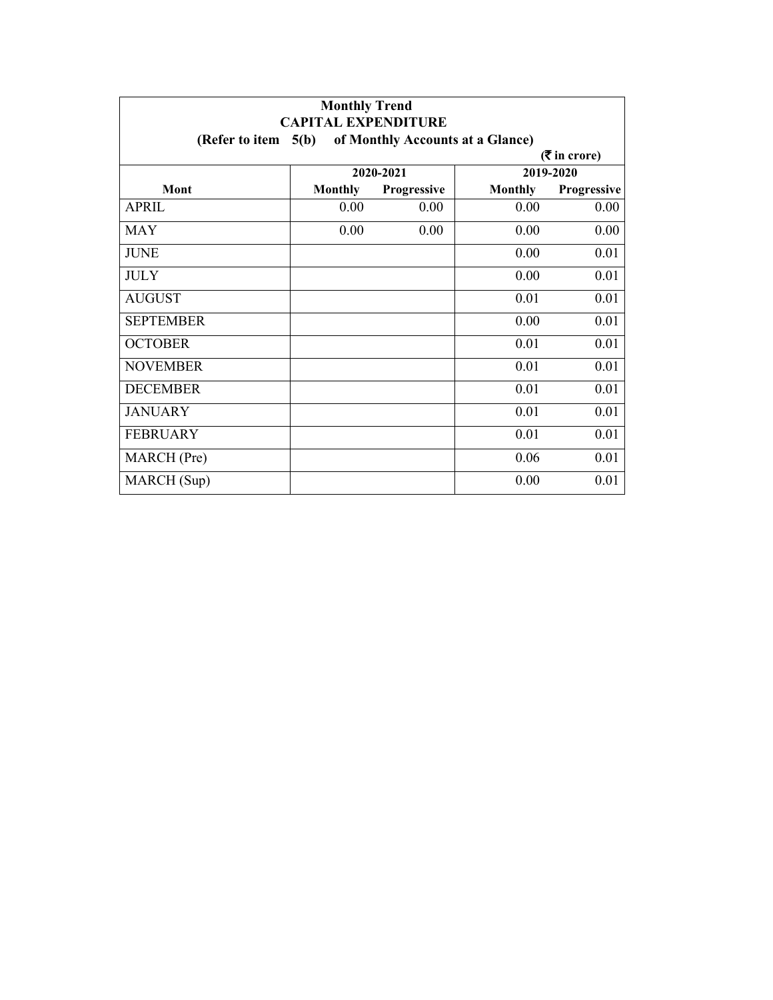| <b>Monthly Trend</b><br><b>CAPITAL EXPENDITURE</b><br>(Refer to item $5(b)$<br>of Monthly Accounts at a Glance) |                |                    |                |             |  |  |  |
|-----------------------------------------------------------------------------------------------------------------|----------------|--------------------|----------------|-------------|--|--|--|
|                                                                                                                 |                |                    |                |             |  |  |  |
|                                                                                                                 | 2020-2021      |                    | 2019-2020      |             |  |  |  |
| Mont                                                                                                            | <b>Monthly</b> | <b>Progressive</b> | <b>Monthly</b> | Progressive |  |  |  |
| <b>APRIL</b>                                                                                                    | 0.00           | 0.00               | 0.00           | 0.00        |  |  |  |
| <b>MAY</b>                                                                                                      | 0.00           | 0.00               | 0.00           | 0.00        |  |  |  |
| <b>JUNE</b>                                                                                                     |                |                    | 0.00           | 0.01        |  |  |  |
| <b>JULY</b>                                                                                                     |                |                    | 0.00           | 0.01        |  |  |  |
| <b>AUGUST</b>                                                                                                   |                |                    | 0.01           | 0.01        |  |  |  |
| <b>SEPTEMBER</b>                                                                                                |                |                    | 0.00           | 0.01        |  |  |  |
| <b>OCTOBER</b>                                                                                                  |                |                    | 0.01           | 0.01        |  |  |  |
| <b>NOVEMBER</b>                                                                                                 |                |                    | 0.01           | 0.01        |  |  |  |
| <b>DECEMBER</b>                                                                                                 |                |                    | 0.01           | 0.01        |  |  |  |
| <b>JANUARY</b>                                                                                                  |                |                    | 0.01           | 0.01        |  |  |  |
| <b>FEBRUARY</b>                                                                                                 |                |                    | 0.01           | 0.01        |  |  |  |
| MARCH (Pre)                                                                                                     |                |                    | 0.06           | 0.01        |  |  |  |
| MARCH (Sup)                                                                                                     |                |                    | 0.00           | 0.01        |  |  |  |